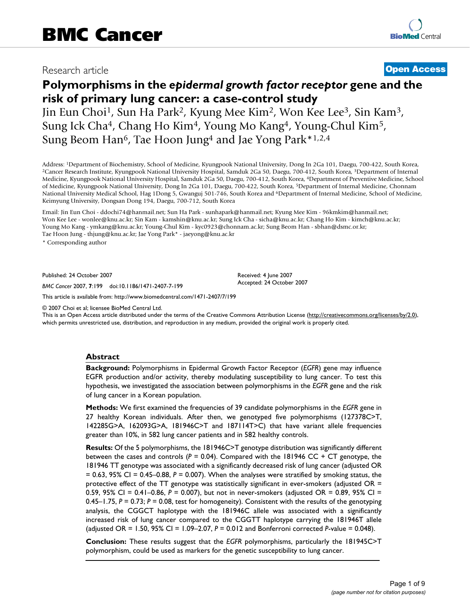# Research article **[Open Access](http://www.biomedcentral.com/info/about/charter/)**

# **Polymorphisms in the** *epidermal growth factor receptor* **gene and the risk of primary lung cancer: a case-control study**

Jin Eun Choi1, Sun Ha Park2, Kyung Mee Kim2, Won Kee Lee3, Sin Kam3, Sung Ick Cha4, Chang Ho Kim4, Young Mo Kang4, Young-Chul Kim5, Sung Beom Han6, Tae Hoon Jung4 and Jae Yong Park\*1,2,4

Address: <sup>1</sup>Department of Biochemistry, School of Medicine, Kyungpook National University, Dong In 2Ga 101, Daegu, 700-422, South Korea, <sup>2</sup>Cancer Research Institute, Kyungpook National University Hospital, Samduk 2Ga 50, Medicine, Kyungpook National University Hospital, Samduk 2Ga 50, Daegu, 700-412, South Korea, 4Department of Preventive Medicine, School of Medicine, Kyungpook National University, Dong In 2Ga 101, Daegu, 700-422, South Korea, 5Department of Internal Medicine, Chonnam National University Medical School, Hag 1Dong 5, Gwanguj 501-746, South Korea and <sup>6</sup>Department of Internal Medicine, School of Medicine, Keimyung University, Dongsan Dong 194, Daegu, 700-712, South Korea

Email: Jin Eun Choi - ddochi74@hanmail.net; Sun Ha Park - sunhapark@hanmail.net; Kyung Mee Kim - 96kmkim@hanmail.net; Won Kee Lee - wonlee@knu.ac.kr; Sin Kam - kamshin@knu.ac.kr; Sung Ick Cha - sicha@knu.ac.kr; Chang Ho Kim - kimch@knu.ac.kr; Young Mo Kang - ymkang@knu.ac.kr; Young-Chul Kim - kyc0923@chonnam.ac.kr; Sung Beom Han - sbhan@dsmc.or.kr; Tae Hoon Jung - thjung@knu.ac.kr; Jae Yong Park\* - jaeyong@knu.ac.kr

\* Corresponding author

Published: 24 October 2007

*BMC Cancer* 2007, **7**:199 doi:10.1186/1471-2407-7-199

[This article is available from: http://www.biomedcentral.com/1471-2407/7/199](http://www.biomedcentral.com/1471-2407/7/199)

© 2007 Choi et al; licensee BioMed Central Ltd.

This is an Open Access article distributed under the terms of the Creative Commons Attribution License [\(http://creativecommons.org/licenses/by/2.0\)](http://creativecommons.org/licenses/by/2.0), which permits unrestricted use, distribution, and reproduction in any medium, provided the original work is properly cited.

Received: 4 June 2007 Accepted: 24 October 2007

#### **Abstract**

**Background:** Polymorphisms in Epidermal Growth Factor Receptor (*EGFR*) gene may influence EGFR production and/or activity, thereby modulating susceptibility to lung cancer. To test this hypothesis, we investigated the association between polymorphisms in the *EGFR* gene and the risk of lung cancer in a Korean population.

**Methods:** We first examined the frequencies of 39 candidate polymorphisms in the *EGFR* gene in 27 healthy Korean individuals. After then, we genotyped five polymorphisms (127378C>T, 142285G>A, 162093G>A, 181946C>T and 187114T>C) that have variant allele frequencies greater than 10%, in 582 lung cancer patients and in 582 healthy controls.

**Results:** Of the 5 polymorphisms, the 181946C>T genotype distribution was significantly different between the cases and controls (*P* = 0.04). Compared with the 181946 CC + CT genotype, the 181946 TT genotype was associated with a significantly decreased risk of lung cancer (adjusted OR = 0.63, 95% CI = 0.45–0.88, *P* = 0.007). When the analyses were stratified by smoking status, the protective effect of the TT genotype was statistically significant in ever-smokers (adjusted OR = 0.59, 95% CI = 0.41–0.86, *P* = 0.007), but not in never-smokers (adjusted OR = 0.89, 95% CI = 0.45–1.75, *P* = 0.73; *P* = 0.08, test for homogeneity). Consistent with the results of the genotyping analysis, the CGGCT haplotype with the 181946C allele was associated with a significantly increased risk of lung cancer compared to the CGGTT haplotype carrying the 181946T allele (adjusted OR = 1.50, 95% CI = 1.09–2.07, *P* = 0.012 and Bonferroni corrected *P*-value = 0.048).

**Conclusion:** These results suggest that the *EGFR* polymorphisms, particularly the 181945C>T polymorphism, could be used as markers for the genetic susceptibility to lung cancer.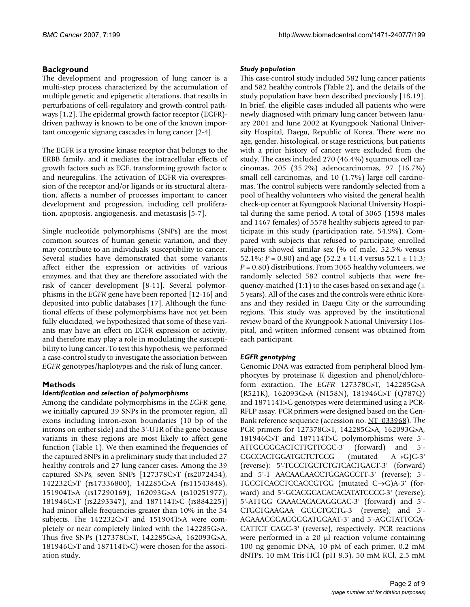# **Background**

The development and progression of lung cancer is a multi-step process characterized by the accumulation of multiple genetic and epigenetic alterations, that results in perturbations of cell-regulatory and growth-control pathways [1,2]. The epidermal growth factor receptor (EGFR) driven pathway is known to be one of the known important oncogenic signang cascades in lung cancer [2-4].

The EGFR is a tyrosine kinase receptor that belongs to the ERBB family, and it mediates the intracellular effects of growth factors such as EGF, transforming growth factor  $\alpha$ and neuregulins. The activation of EGFR via overexpression of the receptor and/or ligands or its structural alteration, affects a number of processes important to cancer development and progression, including cell proliferation, apoptosis, angiogenesis, and metastasis [5-7].

Single nucleotide polymorphisms (SNPs) are the most common sources of human genetic variation, and they may contribute to an individuals' susceptibility to cancer. Several studies have demonstrated that some variants affect either the expression or activities of various enzymes, and that they are therefore associated with the risk of cancer development [\[8-](#page-7-0)11]. Several polymorphisms in the *EGFR* gene have been reported [12-16] and deposited into public databases [17]. Although the functional effects of these polymorphisms have not yet been fully elucidated, we hypothesized that some of these variants may have an effect on EGFR expression or activity, and therefore may play a role in modulating the susceptibility to lung cancer. To test this hypothesis, we performed a case-control study to investigate the association between *EGFR* genotypes/haplotypes and the risk of lung cancer.

# **Methods**

# *Identification and selection of polymorphisms*

Among the candidate polymorphisms in the *EGFR* gene, we initially captured 39 SNPs in the promoter region, all exons including intron-exon boundaries (10 bp of the introns on either side) and the 3'-UTR of the gene because variants in these regions are most likely to affect gene function (Table 1). We then examined the frequencies of the captured SNPs in a preliminary study that included 27 healthy controls and 27 lung cancer cases. Among the 39 captured SNPs, seven SNPs [127378C>T (rs2072454), 142232C>T (rs17336800), 142285G>A (rs11543848), 151904T>A (rs17290169), 162093G>A (rs10251977), 181946C>T (rs2293347), and 187114T>C (rs884225)] had minor allele frequencies greater than 10% in the 54 subjects. The 142232C>T and 151904T>A were completely or near completely linked with the 142285G>A. Thus five SNPs (127378C>T, 142285G>A, 162093G>A, 181946C>T and 187114T>C) were chosen for the association study.

# *Study population*

This case-control study included 582 lung cancer patients and 582 healthy controls (Table 2), and the details of the study population have been described previously [18,19]. In brief, the eligible cases included all patients who were newly diagnosed with primary lung cancer between January 2001 and June 2002 at Kyungpook National University Hospital, Daegu, Republic of Korea. There were no age, gender, histological, or stage restrictions, but patients with a prior history of cancer were excluded from the study. The cases included 270 (46.4%) squamous cell carcinomas, 205 (35.2%) adenocarcinomas, 97 (16.7%) small cell carcinomas, and 10 (1.7%) large cell carcinomas. The control subjects were randomly selected from a pool of healthy volunteers who visited the general health check-up center at Kyungpook National University Hospital during the same period. A total of 3065 (1598 males and 1467 females) of 5578 healthy subjects agreed to participate in this study (participation rate, 54.9%). Compared with subjects that refused to participate, enrolled subjects showed similar sex (% of male, 52.5% versus 52.1%;  $P = 0.80$ ) and age (52.2  $\pm$  11.4 versus 52.1  $\pm$  11.3; *P* = 0.80) distributions. From 3065 healthy volunteers, we randomly selected 582 control subjects that were frequency-matched (1:1) to the cases based on sex and age ( $\pm$ 5 years). All of the cases and the controls were ethnic Koreans and they resided in Daegu City or the surrounding regions. This study was approved by the institutional review board of the Kyungpook National University Hospital, and written informed consent was obtained from each participant.

# *EGFR genotyping*

Genomic DNA was extracted from peripheral blood lymphocytes by proteinase K digestion and phenol/chloroform extraction. The *EGFR* 127378C>T, 142285G>A (R521K), 162093G>A (N158N), 181946C>T (Q787Q) and 187114T>C genotypes were determined using a PCR-RFLP assay. PCR primers were designed based on the Gen-Bank reference sequence (accession no. [NT\\_033968\)](http://www.ncbi.nih.gov/entrez/query.fcgi?db=Nucleotide&cmd=search&term=NT_033968). The PCR primers for 127378C>T, 142285G>A, 162093G>A, 181946C>T and 187114T>C polymorphisms were 5'- ATTGCGGGACTCTTGTTCGC-3' (forward) and 5'- CGCCACTGGATGCTCTCCG (mutated A→G)C-3' (reverse); 5'-TCCCTGCTCTGTCACTGACT-3' (forward) and 5'-T AACAACAACCTGGAGCCTT-3' (reverse); 5'- TGCCTCACCTCCACCGTGG (mutated C→G)A-3' (forward) and 5'-GCACGCACACACATATCCCC-3' (reverse); 5'-ATTGG CAAACACACAGGCAC-3' (forward) and 5'- CTGCTGAAGAA GCCCTGCTG-3' (reverse); and 5'- AGAAACGGAGGGGATGGAAT-3' and 5'-AGGTATTCCA-CATTCT CAGC-3' (reverse), respectively. PCR reactions were performed in a 20 µl reaction volume containing 100 ng genomic DNA, 10 pM of each primer, 0.2 mM dNTPs, 10 mM Tris-HCl (pH 8.3), 50 mM KCl, 2.5 mM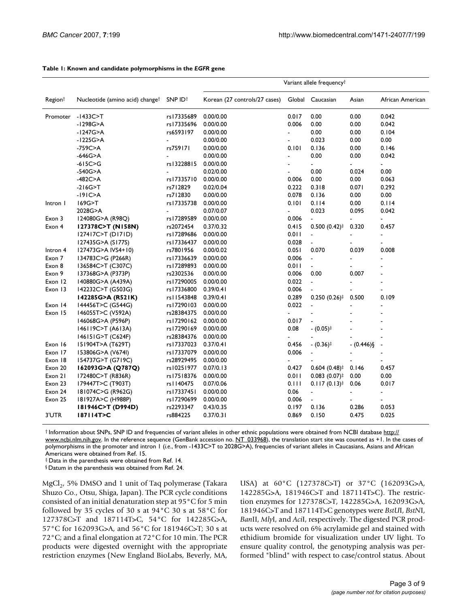|                     |                                             |                     | Variant allele frequency <sup>†</sup> |                          |                                             |                |                  |
|---------------------|---------------------------------------------|---------------------|---------------------------------------|--------------------------|---------------------------------------------|----------------|------------------|
| Region <sup>†</sup> | Nucleotide (amino acid) change <sup>†</sup> | SNP ID <sup>+</sup> | Korean (27 controls/27 cases)         | Global                   | Caucasian                                   | Asian          | African American |
| Promoter            | $-1433C > T$                                | rs I 7335689        | 0.00/0.00                             | 0.017                    | 0.00                                        | 0.00           | 0.042            |
|                     | -1298G>A                                    | rs17335696          | 0.00/0.00                             | 0.006                    | 0.00                                        | 0.00           | 0.042            |
|                     | -1247G>A                                    | rs6593197           | 0.00/0.00                             | $\blacksquare$           | 0.00                                        | 0.00           | 0.104            |
|                     | -1225G>A                                    | $\blacksquare$      | 0.00/0.00                             | $\overline{a}$           | 0.023                                       | 0.00           | 0.00             |
|                     | -759C>A                                     | rs759171            | 0.00/0.00                             | 0.101                    | 0.136                                       | 0.00           | 0.146            |
|                     | $-646G$ $>$ A                               |                     | 0.00/0.00                             | $\overline{a}$           | 0.00                                        | 0.00           | 0.042            |
|                     | $-615C > G$                                 | rs13228815          | 0.00/0.00                             | $\overline{\phantom{a}}$ | ÷,                                          | $\blacksquare$ | $\blacksquare$   |
|                     | -540G>A                                     |                     | 0.02/0.00                             | $\blacksquare$           | 0.00                                        | 0.024          | 0.00             |
|                     | $-482C > A$                                 | rs17335710          | 0.00/0.00                             | 0.006                    | 0.00                                        | 0.00           | 0.063            |
|                     | $-216G > T$                                 | rs712829            | 0.02/0.04                             | 0.222                    | 0.318                                       | 0.071          | 0.292            |
|                     | $-19IC2A$                                   | rs712830            | 0.00/0.00                             | 0.078                    | 0.136                                       | 0.00           | 0.00             |
| Intron I            | 169G>T                                      | rs17335738          | 0.00/0.00                             | 0.101                    | 0.114                                       | 0.00           | 0.114            |
|                     | 2028G>A                                     |                     | 0.07/0.07                             | $\blacksquare$           | 0.023                                       | 0.095          | 0.042            |
| Exon 3              | 124080G>A (R98Q)                            | rs17289589          | 0.00/0.00                             | 0.006                    | $\blacksquare$                              |                | $\blacksquare$   |
| Exon 4              | 127378C>T (N158N)                           | rs2072454           | 0.37/0.32                             | 0.415                    | $0.500(0.42)$ <sup>‡</sup>                  | 0.320          | 0.457            |
|                     | 127417C>T (D171D)                           | rs17289686          | 0.00/0.00                             | 0.011                    | ä,                                          |                | $\blacksquare$   |
|                     | 127435G>A (S177S)                           | rs17336437          | 0.00/0.00                             | 0.028                    | $\blacksquare$                              |                |                  |
| Intron 4            | 127473G>A IVS4+10)                          | rs7801956           | 0.00/0.02                             | 0.051                    | 0.070                                       | 0.039          | 0.008            |
| Exon 7              | 134783C>G (P266R)                           | rs   7336639        | 0.00/0.00                             | 0.006                    | $\blacksquare$                              |                | $\blacksquare$   |
| Exon 8              | 136584C>T (C307C)                           | rs I 7289893        | 0.00/0.00                             | 0.011                    | ÷,                                          |                |                  |
| Exon 9              | 137368G>A (P373P)                           | rs2302536           | 0.00/0.00                             | 0.006                    | 0.00                                        | 0.007          | $\blacksquare$   |
| Exon 12             | 140880G>A (A439A)                           | rs17290005          | 0.00/0.00                             | 0.022                    | $\blacksquare$                              |                | $\blacksquare$   |
| Exon 13             | 142232C>T (G503G)                           | rs17336800          | 0.39/0.41                             | 0.006                    |                                             |                |                  |
|                     | 142285G>A (R521K)                           | rs I 1543848        | 0.39/0.41                             | 0.289                    | $0.250(0.26)$ <sup>‡</sup>                  | 0.500          | 0.109            |
| Exon 14             | 144456T>C (G544G)                           | rs   7290   03      | 0.00/0.00                             | 0.022                    | $\blacksquare$                              |                |                  |
| Exon 15             | 146055T>C (V592A)                           | rs28384375          | 0.00/0.00                             |                          |                                             |                |                  |
|                     | 146068G>A (P596P)                           | rs17290162          | 0.00/0.00                             | 0.017                    | $\sim$                                      |                |                  |
|                     | 146119C>T (A613A)                           | rs17290169          | 0.00/0.00                             | 0.08                     | $(0.05)^{\ddagger}$                         |                |                  |
|                     | 146151G>T (C624F)                           | rs28384376          | 0.00/0.00                             |                          |                                             |                |                  |
| Exon 16             | 151904T>A (T629T)                           | rs17337023          | 0.37/0.41                             | 0.456                    | $-$ (0.36) <sup><math>\ddagger</math></sup> | $-(0.446)\$    |                  |
| Exon 17             | 153806G>A (V674I)                           | rs17337079          | 0.00/0.00                             | 0.006                    | $\blacksquare$                              |                |                  |
| Exon 18             | 154737G>T (G719C)                           | rs28929495          | 0.00/0.00                             |                          |                                             |                |                  |
| Exon 20             | 162093G>A (Q787Q)                           | rs10251977          | 0.07/0.13                             | 0.427                    | $0.604(0.48)$ <sup>‡</sup>                  | 0.146          | 0.457            |
| Exon 21             | 172480C>T (R836R)                           | rs17518376          | 0.00/0.00                             | 0.011                    | $0.083(0.07)$ <sup>‡</sup>                  | 0.00           | 0.00             |
| Exon 23             | 179447T>C (T903T)                           | rs I 140475         | 0.07/0.06                             | 0.111                    | $0.117(0.13)^{\ddagger}$                    | 0.06           | 0.017            |
| Exon 24             | 181074C>G (R962G)                           | rs17337451          | 0.00/0.00                             | 0.06                     | $\blacksquare$                              |                | $\blacksquare$   |
| Exon 25             | 181927A>C (H988P)                           | rs17290699          | 0.00/0.00                             | 0.006                    | $\Box$                                      |                |                  |
|                     | 181946C>T (D994D)                           | rs2293347           | 0.43/0.35                             | 0.197                    | 0.136                                       | 0.286          | 0.053            |
| 3'UTR               | 187114T>C                                   | rs884225            | 0.37/0.31                             | 0.869                    | 0.150                                       | 0.475          | 0.025            |

#### **Table 1: Known and candidate polymorphisms in the** *EGFR* **gene**

† Information about SNPs, SNP ID and frequencies of variant alleles in other ethnic populations were obtained from NCBI database [http://](http://www.ncbi.nlm.nih.gov) [www.ncbi.nlm.nih.gov.](http://www.ncbi.nlm.nih.gov) In the reference sequence (GenBank accession no. [NT\\_033968](http://www.ncbi.nih.gov/entrez/query.fcgi?db=Nucleotide&cmd=search&term=NT_033968)), the translation start site was counted as +1. In the cases of polymorphisms in the promoter and intron 1 (*i.e*., from -1433C>T to 2028G>A), frequencies of variant alleles in Caucasians, Asians and African Americans were obtained from Ref. 15.

‡ Data in the parenthesis were obtained from Ref. 14.

§ Datum in the parenthesis was obtained from Ref. 24.

 $MgCl<sub>2</sub>$ , 5% DMSO and 1 unit of Taq polymerase (Takara Shuzo Co., Otsu, Shiga, Japan). The PCR cycle conditions consisted of an initial denaturation step at 95°C for 5 min followed by 35 cycles of 30 s at 94°C 30 s at 58°C for 127378C>T and 187114T>C, 54°C for 142285G>A, 57°C for 162093G>A, and 56°C for 181946C>T; 30 s at 72°C; and a final elongation at 72°C for 10 min. The PCR products were digested overnight with the appropriate restriction enzymes (New England BioLabs, Beverly, MA, USA) at 60°C (127378C>T) or 37°C (162093G>A, 142285G>A, 181946C>T and 187114T>C). The restriction enzymes for 127378C>T, 142285G>A, 162093G>A, 181946C>T and 187114T>C genotypes were *BstU*I, *BstN*I, *Ban*II, *Mly*I, and *Aci*I, respectively. The digested PCR products were resolved on 6% acrylamide gel and stained with ethidium bromide for visualization under UV light. To ensure quality control, the genotyping analysis was performed "blind" with respect to case/control status. About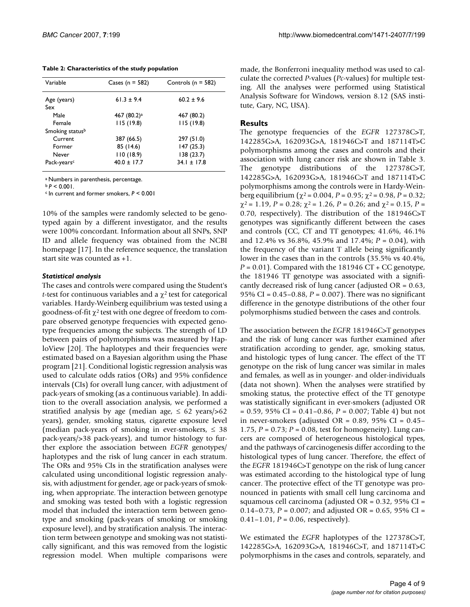**Table 2: Characteristics of the study population**

| Variable                | Cases ( $n = 582$ ) | Controls ( $n = 582$ ) |
|-------------------------|---------------------|------------------------|
| Age (years)             | $61.3 \pm 9.4$      | $60.2 \pm 9.6$         |
| Sex                     |                     |                        |
| Male                    | 467 $(80.2)^a$      | 467 (80.2)             |
| Female                  | 115(19.8)           | 115(19.8)              |
| Smoking statusb         |                     |                        |
| Current                 | 387 (66.5)          | 297 (51.0)             |
| Former                  | 85 (14.6)           | 147(25.3)              |
| Never                   | 110(18.9)           | 138(23.7)              |
| Pack-years <sup>c</sup> | $40.0 \pm 17.7$     | $34.1 \pm 17.8$        |
|                         |                     |                        |

a Numbers in parenthesis, percentage.

 $b$   $P$  < 0.001.

c In current and former smokers, *P* < 0.001

10% of the samples were randomly selected to be genotyped again by a different investigator, and the results were 100% concordant. Information about all SNPs, SNP ID and allele frequency was obtained from the NCBI homepage [17]. In the reference sequence, the translation start site was counted as +1.

#### *Statistical analysis*

The cases and controls were compared using the Student's *t*-test for continuous variables and a  $\chi^2$  test for categorical variables. Hardy-Weinberg equilibrium was tested using a goodness-of-fit  $\chi^2$  test with one degree of freedom to compare observed genotype frequencies with expected genotype frequencies among the subjects. The strength of LD between pairs of polymorphisms was measured by HaploView [20]. The haplotypes and their frequencies were estimated based on a Bayesian algorithm using the Phase program [21]. Conditional logistic regression analysis was used to calculate odds ratios (ORs) and 95% confidence intervals (CIs) for overall lung cancer, with adjustment of pack-years of smoking (as a continuous variable). In addition to the overall association analysis, we performed a stratified analysis by age (median age,  $\leq 62$  years/ $>62$ years), gender, smoking status, cigarette exposure level (median pack-years of smoking in ever-smokers,  $\leq 38$ pack-years/>38 pack-years), and tumor histology to further explore the association between *EGFR* genotypes/ haplotypes and the risk of lung cancer in each stratum. The ORs and 95% CIs in the stratification analyses were calculated using unconditional logistic regression analysis, with adjustment for gender, age or pack-years of smoking, when appropriate. The interaction between genotype and smoking was tested both with a logistic regression model that included the interaction term between genotype and smoking (pack-years of smoking or smoking exposure level), and by stratification analysis. The interaction term between genotype and smoking was not statistically significant, and this was removed from the logistic regression model. When multiple comparisons were made, the Bonferroni inequality method was used to calculate the corrected *P*-values (*Pc*-values) for multiple testing. All the analyses were performed using Statistical Analysis Software for Windows, version 8.12 (SAS institute, Gary, NC, USA).

#### **Results**

The genotype frequencies of the *EGFR* 127378C>T, 142285G>A, 162093G>A, 181946C>T and 187114T>C polymorphisms among the cases and controls and their association with lung cancer risk are shown in Table 3. The genotype distributions of the 127378C>T, 142285G>A, 162093G>A, 181946C>T and 187114T>C polymorphisms among the controls were in Hardy-Weinberg equilibrium (χ2 = 0.004, *P* = 0.95; χ2 = 0.98, *P* = 0.32;  $\chi^2$  = 1.19, *P* = 0.28;  $\chi^2$  = 1.26, *P* = 0.26; and  $\chi^2$  = 0.15, *P* = 0.70, respectively). The distribution of the 181946C>T genotypes was significantly different between the cases and controls (CC, CT and TT genotypes; 41.6%, 46.1% and 12.4% vs 36.8%, 45.9% and 17.4%; *P* = 0.04), with the frequency of the variant T allele being significantly lower in the cases than in the controls (35.5% vs 40.4%,  $P = 0.01$ ). Compared with the 181946 CT + CC genotype, the 181946 TT genotype was associated with a significantly decreased risk of lung cancer (adjusted OR = 0.63, 95% CI = 0.45–0.88, *P* = 0.007). There was no significant difference in the genotype distributions of the other four polymorphisms studied between the cases and controls.

The association between the *EGFR* 181946C>T genotypes and the risk of lung cancer was further examined after stratification according to gender, age, smoking status, and histologic types of lung cancer. The effect of the TT genotype on the risk of lung cancer was similar in males and females, as well as in younger- and older-individuals (data not shown). When the analyses were stratified by smoking status, the protective effect of the TT genotype was statistically significant in ever-smokers (adjusted OR = 0.59, 95% CI = 0.41–0.86, *P* = 0.007; Table 4) but not in never-smokers (adjusted OR =  $0.89$ ,  $95\%$  CI =  $0.45-$ 1.75, *P* = 0.73; *P* = 0.08, test for homogeneity). Lung cancers are composed of heterogeneous histological types, and the pathways of carcinogenesis differ according to the histological types of lung cancer. Therefore, the effect of the *EGFR* 181946C>T genotype on the risk of lung cancer was estimated according to the histological type of lung cancer. The protective effect of the TT genotype was pronounced in patients with small cell lung carcinoma and squamous cell carcinoma (adjusted OR = 0.32, 95% CI = 0.14–0.73, *P* = 0.007; and adjusted OR = 0.65, 95% CI = 0.41–1.01, *P* = 0.06, respectively).

We estimated the *EGFR* haplotypes of the 127378C>T, 142285G>A, 162093G>A, 181946C>T, and 187114T>C polymorphisms in the cases and controls, separately, and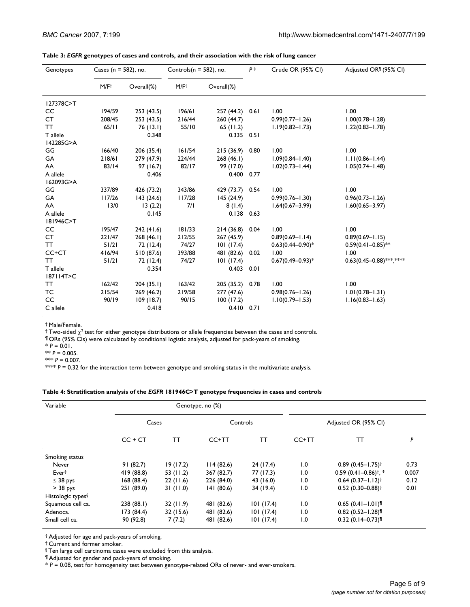| Genotypes     | Cases ( $n = 582$ ), no. |            | Controls( $n = 582$ ), no. |                 | $P^+$ | Crude OR (95% CI)     | Adjusted OR <sub>1</sub> (95% CI) |  |
|---------------|--------------------------|------------|----------------------------|-----------------|-------|-----------------------|-----------------------------------|--|
|               | M/F <sup>†</sup>         | Overall(%) | M/Ft                       | Overall(%)      |       |                       |                                   |  |
| 127378C>T     |                          |            |                            |                 |       |                       |                                   |  |
| CC            | 194/59                   | 253(43.5)  | 196/61                     | 257 (44.2) 0.61 |       | 1.00                  | 1.00                              |  |
| CT            | 208/45                   | 253 (43.5) | 216/44                     | 260(44.7)       |       | $0.99(0.77 - 1.26)$   | $1.00(0.78 - 1.28)$               |  |
| <b>TT</b>     | 65/11                    | 76 (13.1)  | 55/10                      | 65(11.2)        |       | $1.19(0.82 - 1.73)$   | $1.22(0.83 - 1.78)$               |  |
| T allele      |                          | 0.348      |                            | $0.335$ $0.51$  |       |                       |                                   |  |
| 142285G>A     |                          |            |                            |                 |       |                       |                                   |  |
| GG            | 166/40                   | 206 (35.4) | 161/54                     | 215 (36.9) 0.80 |       | 1.00                  | 1.00                              |  |
| GA            | 218/61                   | 279 (47.9) | 224/44                     | 268(46.1)       |       | $1.09(0.84 - 1.40)$   | $1.11(0.86 - 1.44)$               |  |
| AA            | 83/14                    | 97(16.7)   | 82/17                      | 99 (17.0)       |       | $1.02(0.73 - 1.44)$   | $1.05(0.74 - 1.48)$               |  |
| A allele      |                          | 0.406      |                            | 0.400 0.77      |       |                       |                                   |  |
| 162093G>A     |                          |            |                            |                 |       |                       |                                   |  |
| GG            | 337/89                   | 426 (73.2) | 343/86                     | 429 (73.7) 0.54 |       | 1.00                  | 1.00                              |  |
| GA            | 117/26                   | 143(24.6)  | 117/28                     | 145 (24.9)      |       | $0.99(0.76 - 1.30)$   | $0.96(0.73 - 1.26)$               |  |
| AA            | 13/0                     | 13(2.2)    | 7/1                        | 8(1.4)          |       | $1.64(0.67 - 3.99)$   | $1.60(0.65 - 3.97)$               |  |
| A allele      |                          | 0.145      |                            | $0.138$ 0.63    |       |                       |                                   |  |
| 181946C>T     |                          |            |                            |                 |       |                       |                                   |  |
| CC            | 195/47                   | 242 (41.6) | 181/33                     | 214 (36.8) 0.04 |       | 1.00                  | 1.00                              |  |
| CT            | 221/47                   | 268(46.1)  | 212/55                     | 267 (45.9)      |       | $0.89(0.69 - 1.14)$   | $0.89(0.69 - 1.15)$               |  |
| TT.           | 51/21                    | 72 (12.4)  | 74/27                      | 101(17.4)       |       | $0.63(0.44 - 0.90)^*$ | $0.59(0.41 - 0.85)$ **            |  |
| CC+CT         | 416/94                   | 510 (87.6) | 393/88                     | 481 (82.6) 0.02 |       | 1.00                  | 1.00                              |  |
| <b>TT</b>     | $51/21$                  | 72 (12.4)  | 74/27                      | 101(17.4)       |       | $0.67(0.49 - 0.93)^*$ | $0.63(0.45 - 0.88)$ ***,****      |  |
| T allele      |                          | 0.354      |                            | $0.403$ $0.01$  |       |                       |                                   |  |
| 187114T>C     |                          |            |                            |                 |       |                       |                                   |  |
| TT.           | 162/42                   | 204(35.1)  | 163/42                     | 205 (35.2) 0.78 |       | 1.00                  | 1.00                              |  |
| ТC            | 215/54                   | 269 (46.2) | 219/58                     | 277(47.6)       |       | $0.98(0.76 - 1.26)$   | $1.01(0.78 - 1.31)$               |  |
| <sub>CC</sub> | 90/19                    | 109 (18.7) | 90/15                      | 100(17.2)       |       | $1.10(0.79 - 1.53)$   | $1.16(0.83 - 1.63)$               |  |
| C allele      |                          | 0.418      |                            | $0.410$ $0.71$  |       |                       |                                   |  |

# **Table 3:** *EGFR* **genotypes of cases and controls, and their association with the risk of lung cancer**

† Male/Female.

 $\frac{1}{2}$  Two-sided  $\chi^2$  test for either genotype distributions or allele frequencies between the cases and controls.

¶ ORs (95% CIs) were calculated by conditional logistic analysis, adjusted for pack-years of smoking.

 $* P = 0.01$ .

 $*$  *P* = 0.005.

\*\*\*  $P = 0.007$ .

 $* \approx P = 0.32$  for the interaction term between genotype and smoking status in the multivariate analysis.

#### **Table 4: Stratification analysis of the** *EGFR* **181946C>T genotype frequencies in cases and controls**

| Variable                      | Genotype, no (%) |           |            |           |                      |                                     |       |
|-------------------------------|------------------|-----------|------------|-----------|----------------------|-------------------------------------|-------|
|                               | Cases            |           | Controls   |           | Adjusted OR (95% CI) |                                     |       |
|                               | $CC + CT$        | ТT        | CC+TT      | TТ        | CC+TT                | тт                                  | P     |
| Smoking status                |                  |           |            |           |                      |                                     |       |
| Never                         | 91(82.7)         | 19(17.2)  | 114(82.6)  | 24 (17.4) | 1.0                  | $0.89(0.45 - 1.75)$ <sup>†</sup>    | 0.73  |
| Ever‡                         | 419 (88.8)       | 53(11.2)  | 367 (82.7) | 77 (17.3) | 1.0                  | $0.59$ (0.41-0.86) <sup>†</sup> , * | 0.007 |
| $\leq$ 38 pys                 | 168(88.4)        | 22(11.6)  | 226 (84.0) | 43 (16.0) | 1.0                  | $0.64(0.37 - 1.12)^{\dagger}$       | 0.12  |
| $>$ 38 pys                    | 251 (89.0)       | 31(11.0)  | 141(80.6)  | 34 (19.4) | 1.0                  | $0.52(0.30 - 0.88)$ <sup>†</sup>    | 0.01  |
| Histologic types <sup>§</sup> |                  |           |            |           |                      |                                     |       |
| Squamous cell ca.             | 238 (88.1)       | 32(11.9)  | 481 (82.6) | 101(17.4) | 1.0                  | $0.65(0.41 - 1.01)$                 |       |
| Adenoca.                      | 173(84.4)        | 32 (15.6) | 481 (82.6) | 101(17.4) | 1.0                  | $0.82$ (0.52-1.28)                  |       |
| Small cell ca.                | 90 (92.8)        | 7(7.2)    | 481 (82.6) | 101(17.4) | 1.0                  | $0.32$ (0.14-0.73) <sup>1</sup>     |       |

† Adjusted for age and pack-years of smoking.

‡ Current and former smoker.

§ Ten large cell carcinoma cases were excluded from this analysis.

¶ Adjusted for gender and pack-years of smoking.

\* *P* = 0.08, test for homogeneity test between genotype-related ORs of never- and ever-smokers.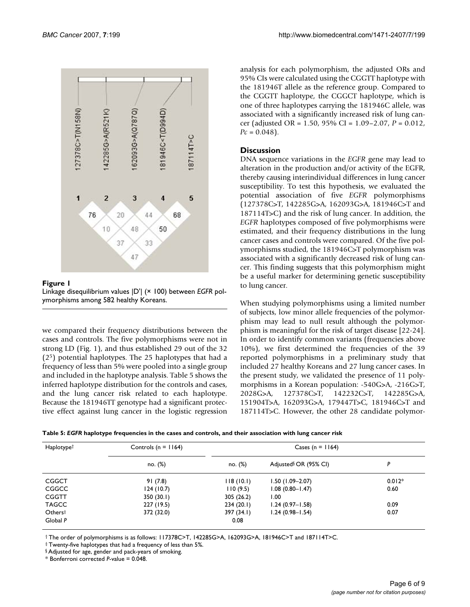

Figure 1 Linkage disequilibrium values |D'| (× 100) between *EGFR* polymorphisms among 582 healthy Koreans.

we compared their frequency distributions between the cases and controls. The five polymorphisms were not in strong LD (Fig. 1), and thus established 29 out of the 32 (25) potential haplotypes. The 25 haplotypes that had a frequency of less than 5% were pooled into a single group and included in the haplotype analysis. Table 5 shows the inferred haplotype distribution for the controls and cases, and the lung cancer risk related to each haplotype. Because the 181946TT genotype had a significant protective effect against lung cancer in the logistic regression analysis for each polymorphism, the adjusted ORs and 95% CIs were calculated using the CGGTT haplotype with the 181946T allele as the reference group. Compared to the CGGTT haplotype, the CGGCT haplotype, which is one of three haplotypes carrying the 181946C allele, was associated with a significantly increased risk of lung cancer (adjusted OR = 1.50, 95% CI = 1.09–2.07, *P* = 0.012,  $Pc = 0.048$ .

# **Discussion**

DNA sequence variations in the *EGFR* gene may lead to alteration in the production and/or activity of the EGFR, thereby causing interindividual differences in lung cancer susceptibility. To test this hypothesis, we evaluated the potential association of five *EGFR* polymorphisms (127378C>T, 142285G>A, 162093G>A, 181946C>T and 187114T>C) and the risk of lung cancer. In addition, the *EGFR* haplotypes composed of five polymorphisms were estimated, and their frequency distributions in the lung cancer cases and controls were compared. Of the five polymorphisms studied, the 181946C>T polymorphism was associated with a significantly decreased risk of lung cancer. This finding suggests that this polymorphism might be a useful marker for determining genetic susceptibility to lung cancer.

When studying polymorphisms using a limited number of subjects, low minor allele frequencies of the polymorphism may lead to null result although the polymorphism is meaningful for the risk of target disease [22-24]. In order to identify common variants (frequencies above 10%), we first determined the frequencies of the 39 reported polymorphisms in a preliminary study that included 27 healthy Koreans and 27 lung cancer cases. In the present study, we validated the presence of 11 polymorphisms in a Korean population: -540G>A, -216G>T, 2028G>A, 127378C>T, 142232C>T, 142285G>A, 151904T>A, 162093G>A, 179447T>C, 181946C>T and 187114T>C. However, the other 28 candidate polymor-

| Haplotype <sup>†</sup> | Controls ( $n = 1164$ ) | Cases (n = $1164$ ) |                                   |          |  |
|------------------------|-------------------------|---------------------|-----------------------------------|----------|--|
|                        | no. (%)                 | no. (%)             | Adjusted <sup>§</sup> OR (95% CI) | P        |  |
| <b>CGGCT</b>           | 91(7.8)                 | 118(10.1)           | $1.50(1.09 - 2.07)$               | $0.012*$ |  |
| CGGCC                  | 124(10.7)               | 110(9.5)            | $1.08(0.80 - 1.47)$               | 0.60     |  |
| <b>CGGTT</b>           | 350(30.1)               | 305 (26.2)          | 1.00                              |          |  |
| <b>TAGCC</b>           | 227 (19.5)              | 234(20.1)           | $1.24(0.97 - 1.58)$               | 0.09     |  |
| Others <sup>‡</sup>    | 372 (32.0)              | 397 (34.1)          | $1.24(0.98 - 1.54)$               | 0.07     |  |
| Global P               |                         | 0.08                |                                   |          |  |

† The order of polymorphisms is as follows: 117378C>T, 142285G>A, 162093G>A, 181946C>T and 187114T>C.

‡ Twenty-five haplotypes that had a frequency of less than 5%.

§ Adjusted for age, gender and pack-years of smoking.

\* Bonferroni corrected *P*-value = 0.048.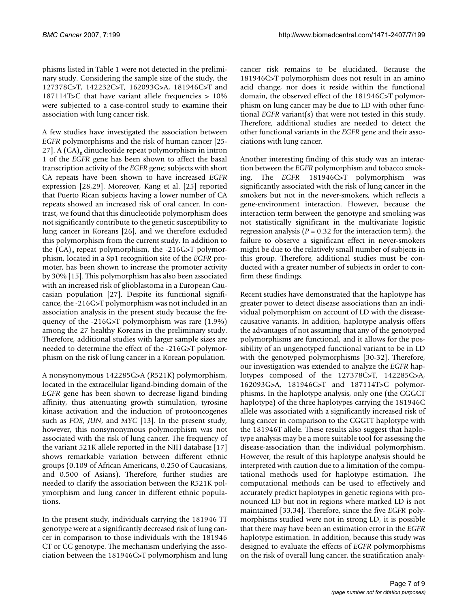phisms listed in Table 1 were not detected in the preliminary study. Considering the sample size of the study, the 127378C>T, 142232C>T, 162093G>A, 181946C>T and 187114T>C that have variant allele frequencies > 10% were subjected to a case-control study to examine their association with lung cancer risk.

A few studies have investigated the association between *EGFR* polymorphisms and the risk of human cancer [\[25](#page-7-1)- 27]. A  $(CA)$ <sub>n</sub> dinucleotide repeat polymorphism in intron 1 of the *EGFR* gene has been shown to affect the basal transcription activity of the *EGFR* gene; subjects with short CA repeats have been shown to have increased *EGFR* expression [28,29]. Moreover, Kang et al. [\[25\]](#page-7-1) reported that Puerto Rican subjects having a lower number of CA repeats showed an increased risk of oral cancer. In contrast, we found that this dinucleotide polymorphism does not significantly contribute to the genetic susceptibility to lung cancer in Koreans [26], and we therefore excluded this polymorphism from the current study. In addition to the  $(CA)$ <sub>n</sub> repeat polymorphism, the -216G>T polymorphism, located in a Sp1 recognition site of the *EGFR* promoter, has been shown to increase the promoter activity by 30% [\[15](#page-7-2)]. This polymorphism has also been associated with an increased risk of glioblastoma in a European Caucasian population [27]. Despite its functional significance, the -216G>T polymorphism was not included in an association analysis in the present study because the frequency of the -216G>T polymorphism was rare (1.9%) among the 27 healthy Koreans in the preliminary study. Therefore, additional studies with larger sample sizes are needed to determine the effect of the -216G>T polymorphism on the risk of lung cancer in a Korean population.

A nonsynonymous 142285G>A (R521K) polymorphism, located in the extracellular ligand-binding domain of the *EGFR* gene has been shown to decrease ligand binding affinity, thus attenuating growth stimulation, tyrosine kinase activation and the induction of protooncogenes such as *FOS*, *JUN*, and *MYC* [13]. In the present study, however, this nonsynonymous polymorphism was not associated with the risk of lung cancer. The frequency of the variant 521K allele reported in the NIH database [17] shows remarkable variation between different ethnic groups (0.109 of African Americans, 0.250 of Caucasians, and 0.500 of Asians). Therefore, further studies are needed to clarify the association between the R521K polymorphism and lung cancer in different ethnic populations.

In the present study, individuals carrying the 181946 TT genotype were at a significantly decreased risk of lung cancer in comparison to those individuals with the 181946 CT or CC genotype. The mechanism underlying the association between the 181946C>T polymorphism and lung cancer risk remains to be elucidated. Because the 181946C>T polymorphism does not result in an amino acid change, nor does it reside within the functional domain, the observed effect of the 181946C>T polymorphism on lung cancer may be due to LD with other functional *EGFR* variant(s) that were not tested in this study. Therefore, additional studies are needed to detect the other functional variants in the *EGFR* gene and their associations with lung cancer.

Another interesting finding of this study was an interaction between the *EGFR* polymorphism and tobacco smoking. The *EGFR* 181946C>T polymorphism was significantly associated with the risk of lung cancer in the smokers but not in the never-smokers, which reflects a gene-environment interaction. However, because the interaction term between the genotype and smoking was not statistically significant in the multivariate logistic regression analysis ( $P = 0.32$  for the interaction term), the failure to observe a significant effect in never-smokers might be due to the relatively small number of subjects in this group. Therefore, additional studies must be conducted with a greater number of subjects in order to confirm these findings.

Recent studies have demonstrated that the haplotype has greater power to detect disease associations than an individual polymorphism on account of LD with the diseasecausative variants. In addition, haplotype analysis offers the advantages of not assuming that any of the genotyped polymorphisms are functional, and it allows for the possibility of an ungenotyped functional variant to be in LD with the genotyped polymorphisms [30-32]. Therefore, our investigation was extended to analyze the *EGFR* haplotypes composed of the 127378C>T, 142285G>A, 162093G>A, 181946C>T and 187114T>C polymorphisms. In the haplotype analysis, only one (the CGGCT haplotype) of the three haplotypes carrying the 181946C allele was associated with a significantly increased risk of lung cancer in comparison to the CGGTT haplotype with the 181946T allele. These results also suggest that haplotype analysis may be a more suitable tool for assessing the disease-association than the individual polymorphism. However, the result of this haplotype analysis should be interpreted with caution due to a limitation of the computational methods used for haplotype estimation. The computational methods can be used to effectively and accurately predict haplotypes in genetic regions with pronounced LD but not in regions where marked LD is not maintained [33,34]. Therefore, since the five *EGFR* polymorphisms studied were not in strong LD, it is possible that there may have been an estimation error in the *EGFR* haplotype estimation. In addition, because this study was designed to evaluate the effects of *EGFR* polymorphisms on the risk of overall lung cancer, the stratification analy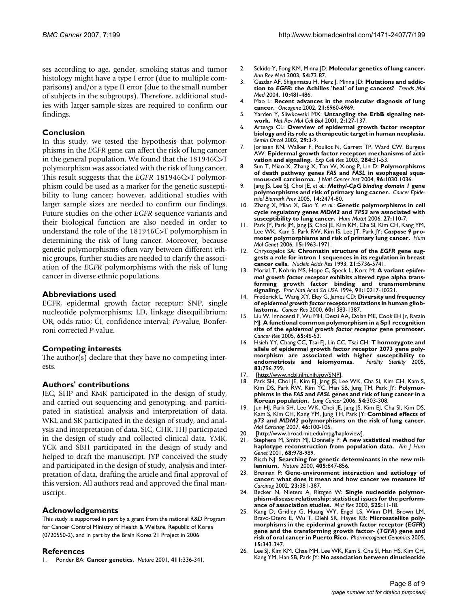ses according to age, gender, smoking status and tumor histology might have a type I error (due to multiple comparisons) and/or a type II error (due to the small number of subjects in the subgroups). Therefore, additional studies with larger sample sizes are required to confirm our findings.

### **Conclusion**

In this study, we tested the hypothesis that polymorphisms in the *EGFR* gene can affect the risk of lung cancer in the general population. We found that the 181946C>T polymorphism was associated with the risk of lung cancer. This result suggests that the *EGFR* 181946C>T polymorphism could be used as a marker for the genetic susceptibility to lung cancer; however, additional studies with larger sample sizes are needed to confirm our findings. Future studies on the other *EGFR* sequence variants and their biological function are also needed in order to understand the role of the 181946C>T polymorphism in determining the risk of lung cancer. Moreover, because genetic polymorphisms often vary between different ethnic groups, further studies are needed to clarify the association of the *EGFR* polymorphisms with the risk of lung cancer in diverse ethnic populations.

#### **Abbreviations used**

EGFR, epidermal growth factor receptor; SNP, single nucleotide polymorphisms; LD, linkage disequilibrium; OR, odds ratio; CI, confidence interval; *Pc*-value, Bonferroni corrected *P*-value.

# **Competing interests**

The author(s) declare that they have no competing interests.

# **Authors' contributions**

JEC, SHP and KMK participated in the design of study, and carried out sequencing and genotyping, and participated in statistical analysis and interpretation of data. WKL and SK participated in the design of study, and analysis and interpretation of data. SIC, CHK, THJ participated in the design of study and collected clinical data. YMK, YCK and SBH participated in the design of study and helped to draft the manuscript. JYP conceived the study and participated in the design of study, analysis and interpretation of data, drafting the article and final approval of this version. All authors read and approved the final manuscript.

#### **Acknowledgements**

This study is supported in part by a grant from the national R&D Program for Cancer Control Ministry of Health & Welfare, Republic of Korea (0720550-2), and in part by the Brain Korea 21 Project in 2006

#### **References**

1. Ponder BA: **[Cancer genetics.](http://www.ncbi.nlm.nih.gov/entrez/query.fcgi?cmd=Retrieve&db=PubMed&dopt=Abstract&list_uids=11357140)** *Nature* 2001, **411:**336-341.

- 2. Sekido Y, Fong KM, Minna JD: **[Molecular genetics of lung cancer.](http://www.ncbi.nlm.nih.gov/entrez/query.fcgi?cmd=Retrieve&db=PubMed&dopt=Abstract&list_uids=12471176)** *Ann Rev Med* 2003, **54:**73-87.
- 3. Gazdar AF, Shigematsu H, Herz J, Minna JD: **Mutations and addiction to** *EGFR***[: the Achilles 'heal' of lung cancers?](http://www.ncbi.nlm.nih.gov/entrez/query.fcgi?cmd=Retrieve&db=PubMed&dopt=Abstract&list_uids=15464447)** *Trends Mol Med* 2004, **10:**481-486.
- 4. Mao L: **[Recent advances in the molecular diagnosis of lung](http://www.ncbi.nlm.nih.gov/entrez/query.fcgi?cmd=Retrieve&db=PubMed&dopt=Abstract&list_uids=12362277) [cancer.](http://www.ncbi.nlm.nih.gov/entrez/query.fcgi?cmd=Retrieve&db=PubMed&dopt=Abstract&list_uids=12362277)** *Oncogene* 2002, **21:**6960-6969.
- 5. Yarden Y, Sliwkowski MX: **[Untangling the ErbB signaling net](http://www.ncbi.nlm.nih.gov/entrez/query.fcgi?cmd=Retrieve&db=PubMed&dopt=Abstract&list_uids=11252954)[work.](http://www.ncbi.nlm.nih.gov/entrez/query.fcgi?cmd=Retrieve&db=PubMed&dopt=Abstract&list_uids=11252954)** *Nat Rev Mol Cell Biol* 2001, **2:**127-137.
- 6. Arteaga CL: **[Overview of epidermal growth factor receptor](http://www.ncbi.nlm.nih.gov/entrez/query.fcgi?cmd=Retrieve&db=PubMed&dopt=Abstract&list_uids=12422308) [biology and its role as therapeutic target in human neoplasia.](http://www.ncbi.nlm.nih.gov/entrez/query.fcgi?cmd=Retrieve&db=PubMed&dopt=Abstract&list_uids=12422308)** *Semin Oncol* 2002, **29:**3-9.
- 7. Jorissen RN, Walker F, Pouliot N, Garrett TP, Ward CW, Burgess AW: **[Epidermal growth factor receptor: mechanisms of acti](http://www.ncbi.nlm.nih.gov/entrez/query.fcgi?cmd=Retrieve&db=PubMed&dopt=Abstract&list_uids=12648464)[vation and signaling.](http://www.ncbi.nlm.nih.gov/entrez/query.fcgi?cmd=Retrieve&db=PubMed&dopt=Abstract&list_uids=12648464)** *Exp Cell Res* 2003, **284:**31-53.
- <span id="page-7-0"></span>8. Sun T, Miao X, Zhang X, Tan W, Xiong P, Lin D: **Polymorphisms of death pathway genes** *FAS* **and** *FASL* **[in esophageal squa](http://www.ncbi.nlm.nih.gov/entrez/query.fcgi?cmd=Retrieve&db=PubMed&dopt=Abstract&list_uids=15240787)[mous-cell carcinoma.](http://www.ncbi.nlm.nih.gov/entrez/query.fcgi?cmd=Retrieve&db=PubMed&dopt=Abstract&list_uids=15240787)** *J Natl Cancer Inst* 2004, **96:**1030-1036.
- 9. Jang JS, Lee SJ, Choi JE, *et al.*: *Methyl-CpG binding domain 1* **gene polymorphisms and risk of primary lung cacner.** *Cancer Epidemiol Biomark Prev* 2005, **14:**2474-80.
- 10. Zhang X, Miao X, Guo Y, *et al.*: **Genetic polymorphisms in cell cycle regulatory genes** *MDM2* **and** *TP53* **[are associated with](http://www.ncbi.nlm.nih.gov/entrez/query.fcgi?cmd=Retrieve&db=PubMed&dopt=Abstract&list_uids=16287156) [susceptibility to lung cancer.](http://www.ncbi.nlm.nih.gov/entrez/query.fcgi?cmd=Retrieve&db=PubMed&dopt=Abstract&list_uids=16287156)** *Hum Mutat* 2006, **27:**110-7.
- 11. Park JY, Park JM, Jang JS, Choi JE, Kim KM, Cha SI, Kim CH, Kang YM, Lee WK, Kam S, Park RW, Kim IS, Lee JT, Park JY: *Caspase 9* **[pro](http://www.ncbi.nlm.nih.gov/entrez/query.fcgi?cmd=Retrieve&db=PubMed&dopt=Abstract&list_uids=16687442)[moter polymorphisms and risk of primary lung cancer.](http://www.ncbi.nlm.nih.gov/entrez/query.fcgi?cmd=Retrieve&db=PubMed&dopt=Abstract&list_uids=16687442)** *Hum Mol Genet* 2006, **15:**1963-1971.
- 12. Chrysogelos SA: **Chromatin structure of the** *EGFR* **[gene sug](http://www.ncbi.nlm.nih.gov/entrez/query.fcgi?cmd=Retrieve&db=PubMed&dopt=Abstract&list_uids=8284222)[gests a role for intron 1 sequences in its regulation in breast](http://www.ncbi.nlm.nih.gov/entrez/query.fcgi?cmd=Retrieve&db=PubMed&dopt=Abstract&list_uids=8284222) [cancer cells.](http://www.ncbi.nlm.nih.gov/entrez/query.fcgi?cmd=Retrieve&db=PubMed&dopt=Abstract&list_uids=8284222)** *Nucleic Acids Res* 1993, **21:**5736-5741.
- 13. Morial T, Kobrin MS, Hope C, Speck L, Korc M: **A variant** *epidermal growth factor receptor* **[exhibits altered type alpha trans](http://www.ncbi.nlm.nih.gov/entrez/query.fcgi?cmd=Retrieve&db=PubMed&dopt=Abstract&list_uids=7937865)[forming growth factor binding and transmembrane](http://www.ncbi.nlm.nih.gov/entrez/query.fcgi?cmd=Retrieve&db=PubMed&dopt=Abstract&list_uids=7937865) [signaling.](http://www.ncbi.nlm.nih.gov/entrez/query.fcgi?cmd=Retrieve&db=PubMed&dopt=Abstract&list_uids=7937865)** *Proc Natl Acad Sci USA* 1994, **91:**10217-10221.
- 14. Frederick L, Wang XY, Eley G, James CD: **Diversity and frequency of** *epidermal growth factor receptor* **[mutations in human gliob](http://www.ncbi.nlm.nih.gov/entrez/query.fcgi?cmd=Retrieve&db=PubMed&dopt=Abstract&list_uids=10728703)[lastoma.](http://www.ncbi.nlm.nih.gov/entrez/query.fcgi?cmd=Retrieve&db=PubMed&dopt=Abstract&list_uids=10728703)** *Cancer Res* 2000, **60:**1383-1387.
- <span id="page-7-2"></span>15. Liu W, Innocenti F, Wu MH, Desai AA, Dolan ME, Cook EH Jr, Ratain MJ: **A functional common polymorphism in a Sp1 recognition site of the** *epidermal growth factor receptor* **[gene promoter.](http://www.ncbi.nlm.nih.gov/entrez/query.fcgi?cmd=Retrieve&db=PubMed&dopt=Abstract&list_uids=15665278)** *Cancer Res* 2005, **65:**46-53.
- 16. Hsieh YY, Chang CC, Tsai FJ, Lin CC, Tsai CH: **T homozygote and allele of epidermal growth factor receptor 2073 gene polymorphism are associated with higher susceptibility to** endometriosis and leiomyomas. **83:**796-799.
- 17. [<http://www.ncbi.nlm.nih.gov/SNP>].
- 18. Park SH, Choi JE, Kim EJ, Jang JS, Lee WK, Cha SI, Kim CH, Kam S, Kim DS, Park RW, Kim YC, Han SB, Jung TH, Park JY: **Polymorphisms in the** *FAS* **and** *FASL* **[genes and risk of lung cancer in a](http://www.ncbi.nlm.nih.gov/entrez/query.fcgi?cmd=Retrieve&db=PubMed&dopt=Abstract&list_uids=17014925) [Korean population.](http://www.ncbi.nlm.nih.gov/entrez/query.fcgi?cmd=Retrieve&db=PubMed&dopt=Abstract&list_uids=17014925)** *Lung Cancer* 2006, **54:**303-308.
- 19. Jun HJ, Park SH, Lee WK, Choi JE, Jang JS, Kim EJ, Cha SI, Kim DS, Kam S, Kim CH, Kang YM, Jung TH, Park JY: **Combined effects of** *p73* **and** *MDM2* **[polymorphisms on the risk of lung cancer.](http://www.ncbi.nlm.nih.gov/entrez/query.fcgi?cmd=Retrieve&db=PubMed&dopt=Abstract&list_uids=17013834)** *Mol Carcinog* 2007, **46:**100-105.
- 20. [<http://www.broad.mit.edu/mpg/haploview>].<br>21. Stephens M, Smith MJ, Donnelly P: A new
- Stephens M, Smith MJ, Donnelly P: [A new statistical method for](http://www.ncbi.nlm.nih.gov/entrez/query.fcgi?cmd=Retrieve&db=PubMed&dopt=Abstract&list_uids=11254454) **[haplotype reconstruction from population data.](http://www.ncbi.nlm.nih.gov/entrez/query.fcgi?cmd=Retrieve&db=PubMed&dopt=Abstract&list_uids=11254454)** *Am J Hum Genet* 2001, **68:**978-989.
- 22. Risch NJ: **[Searching for genetic determinants in the new mil](http://www.ncbi.nlm.nih.gov/entrez/query.fcgi?cmd=Retrieve&db=PubMed&dopt=Abstract&list_uids=10866211)[lennium.](http://www.ncbi.nlm.nih.gov/entrez/query.fcgi?cmd=Retrieve&db=PubMed&dopt=Abstract&list_uids=10866211)** *Nature* 2000, **405:**847-856.
- 23. Brennan P: **Gene-environment interaction and aetiology of cancer: what does it mean and how cancer we measure it?** *Carcinog* 2002, **23:**381-387.
- 24. Becker N, Nieters A, Rittgen W: **Single nucleotide polymorphism-disease relationship: statistical issues for the performance of association studies.** *Mut Res* 2003, **525:**11-18.
- <span id="page-7-1"></span>25. Kang D, Gridley G, Huang WY, Engel LS, Winn DM, Brown LM, Bravo-Otero E, Wu T, Diehl SR, Hayes RB: **Microsatellite polymorphisms in the epidermal growth factor receptor (***EGFR***) gene and the transforming growth factor- (***TGFA***[\) gene and](http://www.ncbi.nlm.nih.gov/entrez/query.fcgi?cmd=Retrieve&db=PubMed&dopt=Abstract&list_uids=15864136) [risk of oral cancer in Puerto Rico.](http://www.ncbi.nlm.nih.gov/entrez/query.fcgi?cmd=Retrieve&db=PubMed&dopt=Abstract&list_uids=15864136)** *Pharmacogenet Genomics* 2005, **15:**343-347.
- 26. Lee SJ, Kim KM, Chae MH, Lee WK, Kam S, Cha SI, Han HS, Kim CH, Kang YM, Han SB, Park JY: **No association between dinucleotide**